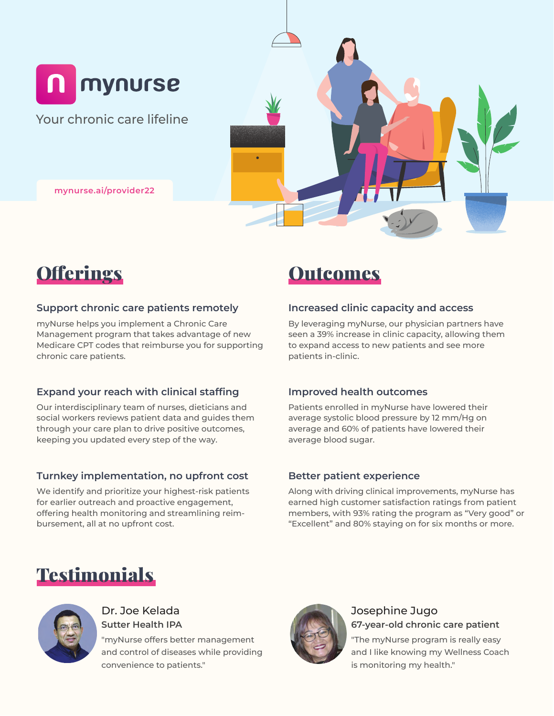

Your chronic care lifeline

**mynurse.ai/provider22**



#### **Support chronic care patients remotely**

myNurse helps you implement a Chronic Care Management program that takes advantage of new Medicare CPT codes that reimburse you for supporting chronic care patients.

### **Expand your reach with clinical staffing**

Our interdisciplinary team of nurses, dieticians and social workers reviews patient data and guides them through your care plan to drive positive outcomes, keeping you updated every step of the way.

### **Turnkey implementation, no upfront cost**

We identify and prioritize your highest-risk patients for earlier outreach and proactive engagement, offering health monitoring and streamlining reimbursement, all at no upfront cost.

### **Outcomes**

### **Increased clinic capacity and access**

By leveraging myNurse, our physician partners have seen a 39% increase in clinic capacity, allowing them to expand access to new patients and see more patients in-clinic.

### **Improved health outcomes**

Patients enrolled in myNurse have lowered their average systolic blood pressure by 12 mm/Hg on average and 60% of patients have lowered their average blood sugar.

### **Better patient experience**

Along with driving clinical improvements, myNurse has earned high customer satisfaction ratings from patient members, with 93% rating the program as "Very good" or "Excellent" and 80% staying on for six months or more.

## **Testimonials**



### Dr. Joe Kelada **Sutter Health IPA**

"myNurse offers better management and control of diseases while providing convenience to patients."



### Josephine Jugo **67-year-old chronic care patient**

"The myNurse program is really easy and I like knowing my Wellness Coach is monitoring my health."